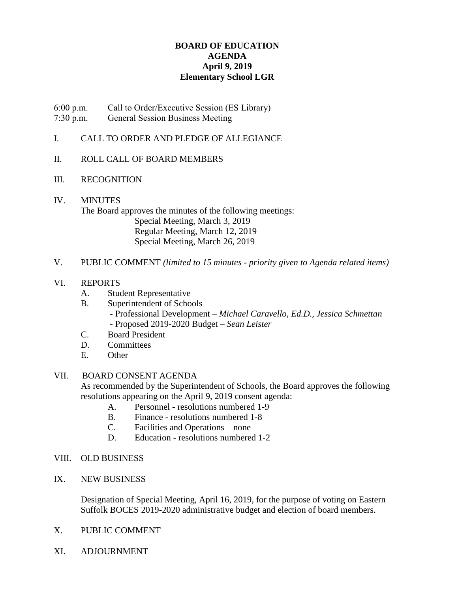# **BOARD OF EDUCATION AGENDA April 9, 2019 Elementary School LGR**

6:00 p.m. Call to Order/Executive Session (ES Library)

7:30 p.m. General Session Business Meeting

# I. CALL TO ORDER AND PLEDGE OF ALLEGIANCE

# II. ROLL CALL OF BOARD MEMBERS

# III. RECOGNITION

## IV. MINUTES The Board approves the minutes of the following meetings: Special Meeting, March 3, 2019 Regular Meeting, March 12, 2019 Special Meeting, March 26, 2019

## V. PUBLIC COMMENT *(limited to 15 minutes - priority given to Agenda related items)*

# VI. REPORTS

- A. Student Representative
- B. Superintendent of Schools - Professional Development – *Michael Caravello, Ed.D., Jessica Schmettan* - Proposed 2019-2020 Budget – *Sean Leister*
- C. Board President
- D. Committees
- E. Other

## VII. BOARD CONSENT AGENDA

As recommended by the Superintendent of Schools, the Board approves the following resolutions appearing on the April 9, 2019 consent agenda:

- A. Personnel resolutions numbered 1-9
- B. Finance resolutions numbered 1-8
- C. Facilities and Operations none
- D. Education resolutions numbered 1-2

## VIII. OLD BUSINESS

IX. NEW BUSINESS

Designation of Special Meeting, April 16, 2019, for the purpose of voting on Eastern Suffolk BOCES 2019-2020 administrative budget and election of board members.

- X. PUBLIC COMMENT
- XI. ADJOURNMENT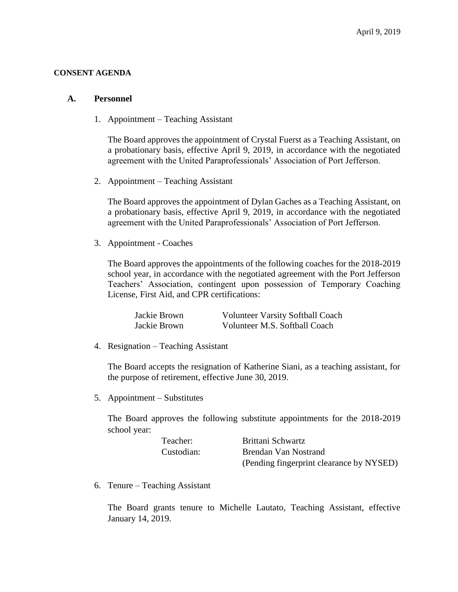#### **CONSENT AGENDA**

#### **A. Personnel**

1. Appointment – Teaching Assistant

The Board approves the appointment of Crystal Fuerst as a Teaching Assistant, on a probationary basis, effective April 9, 2019, in accordance with the negotiated agreement with the United Paraprofessionals' Association of Port Jefferson.

2. Appointment – Teaching Assistant

The Board approves the appointment of Dylan Gaches as a Teaching Assistant, on a probationary basis, effective April 9, 2019, in accordance with the negotiated agreement with the United Paraprofessionals' Association of Port Jefferson.

3. Appointment - Coaches

The Board approves the appointments of the following coaches for the 2018-2019 school year, in accordance with the negotiated agreement with the Port Jefferson Teachers' Association, contingent upon possession of Temporary Coaching License, First Aid, and CPR certifications:

| Jackie Brown | <b>Volunteer Varsity Softball Coach</b> |
|--------------|-----------------------------------------|
| Jackie Brown | Volunteer M.S. Softball Coach           |

4. Resignation – Teaching Assistant

The Board accepts the resignation of Katherine Siani, as a teaching assistant, for the purpose of retirement, effective June 30, 2019.

5. Appointment – Substitutes

The Board approves the following substitute appointments for the 2018-2019 school year:

| Teacher:   | Brittani Schwartz                        |
|------------|------------------------------------------|
| Custodian: | Brendan Van Nostrand                     |
|            | (Pending fingerprint clearance by NYSED) |

6. Tenure – Teaching Assistant

The Board grants tenure to Michelle Lautato, Teaching Assistant, effective January 14, 2019.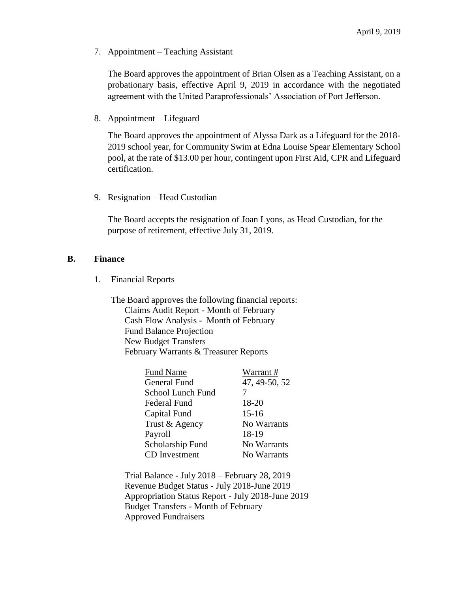7. Appointment – Teaching Assistant

The Board approves the appointment of Brian Olsen as a Teaching Assistant, on a probationary basis, effective April 9, 2019 in accordance with the negotiated agreement with the United Paraprofessionals' Association of Port Jefferson.

8. Appointment – Lifeguard

The Board approves the appointment of Alyssa Dark as a Lifeguard for the 2018- 2019 school year, for Community Swim at Edna Louise Spear Elementary School pool, at the rate of \$13.00 per hour, contingent upon First Aid, CPR and Lifeguard certification.

9. Resignation – Head Custodian

The Board accepts the resignation of Joan Lyons, as Head Custodian, for the purpose of retirement, effective July 31, 2019.

## **B. Finance**

1. Financial Reports

The Board approves the following financial reports: Claims Audit Report - Month of February Cash Flow Analysis - Month of February Fund Balance Projection New Budget Transfers February Warrants & Treasurer Reports

| Warrant#      |
|---------------|
| 47, 49-50, 52 |
|               |
| 18-20         |
| $15-16$       |
| No Warrants   |
| 18-19         |
| No Warrants   |
| No Warrants   |
|               |

Trial Balance - July 2018 – February 28, 2019 Revenue Budget Status - July 2018-June 2019 Appropriation Status Report - July 2018-June 2019 Budget Transfers - Month of February Approved Fundraisers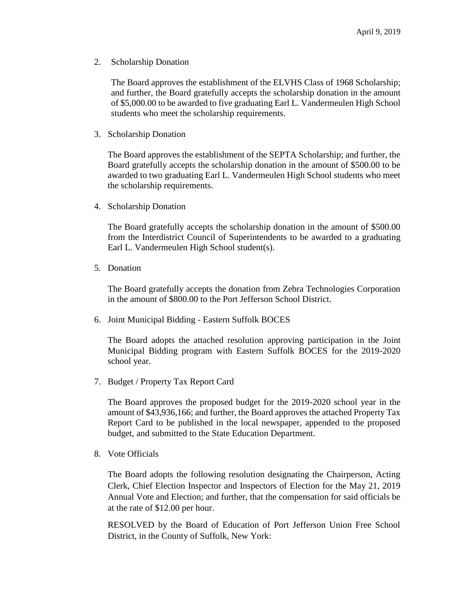2. Scholarship Donation

The Board approves the establishment of the ELVHS Class of 1968 Scholarship; and further, the Board gratefully accepts the scholarship donation in the amount of \$5,000.00 to be awarded to five graduating Earl L. Vandermeulen High School students who meet the scholarship requirements.

3. Scholarship Donation

The Board approves the establishment of the SEPTA Scholarship; and further, the Board gratefully accepts the scholarship donation in the amount of \$500.00 to be awarded to two graduating Earl L. Vandermeulen High School students who meet the scholarship requirements.

4. Scholarship Donation

The Board gratefully accepts the scholarship donation in the amount of \$500.00 from the Interdistrict Council of Superintendents to be awarded to a graduating Earl L. Vandermeulen High School student(s).

5. Donation

The Board gratefully accepts the donation from Zebra Technologies Corporation in the amount of \$800.00 to the Port Jefferson School District.

6. Joint Municipal Bidding - Eastern Suffolk BOCES

The Board adopts the attached resolution approving participation in the Joint Municipal Bidding program with Eastern Suffolk BOCES for the 2019-2020 school year.

7. Budget / Property Tax Report Card

The Board approves the proposed budget for the 2019-2020 school year in the amount of \$43,936,166; and further, the Board approves the attached Property Tax Report Card to be published in the local newspaper, appended to the proposed budget, and submitted to the State Education Department.

8. Vote Officials

The Board adopts the following resolution designating the Chairperson, Acting Clerk, Chief Election Inspector and Inspectors of Election for the May 21, 2019 Annual Vote and Election; and further, that the compensation for said officials be at the rate of \$12.00 per hour.

RESOLVED by the Board of Education of Port Jefferson Union Free School District, in the County of Suffolk, New York: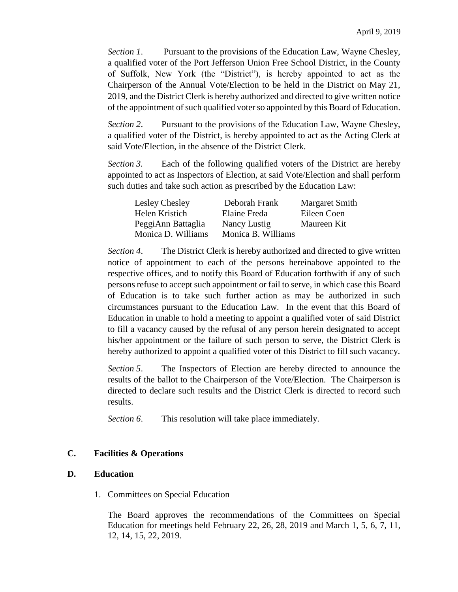*Section 1*. Pursuant to the provisions of the Education Law, Wayne Chesley, a qualified voter of the Port Jefferson Union Free School District, in the County of Suffolk, New York (the "District"), is hereby appointed to act as the Chairperson of the Annual Vote/Election to be held in the District on May 21, 2019, and the District Clerk is hereby authorized and directed to give written notice of the appointment of such qualified voter so appointed by this Board of Education.

*Section 2*. Pursuant to the provisions of the Education Law, Wayne Chesley, a qualified voter of the District, is hereby appointed to act as the Acting Clerk at said Vote/Election, in the absence of the District Clerk.

*Section 3.* Each of the following qualified voters of the District are hereby appointed to act as Inspectors of Election, at said Vote/Election and shall perform such duties and take such action as prescribed by the Education Law:

| Lesley Chesley     | Deborah Frank      | Margaret Smith |
|--------------------|--------------------|----------------|
| Helen Kristich     | Elaine Freda       | Eileen Coen    |
| PeggiAnn Battaglia | Nancy Lustig       | Maureen Kit    |
| Monica D. Williams | Monica B. Williams |                |

*Section 4*. The District Clerk is hereby authorized and directed to give written notice of appointment to each of the persons hereinabove appointed to the respective offices, and to notify this Board of Education forthwith if any of such persons refuse to accept such appointment or fail to serve, in which case this Board of Education is to take such further action as may be authorized in such circumstances pursuant to the Education Law. In the event that this Board of Education in unable to hold a meeting to appoint a qualified voter of said District to fill a vacancy caused by the refusal of any person herein designated to accept his/her appointment or the failure of such person to serve, the District Clerk is hereby authorized to appoint a qualified voter of this District to fill such vacancy.

*Section 5*. The Inspectors of Election are hereby directed to announce the results of the ballot to the Chairperson of the Vote/Election. The Chairperson is directed to declare such results and the District Clerk is directed to record such results.

*Section 6*. This resolution will take place immediately.

# **C. Facilities & Operations**

# **D. Education**

1. Committees on Special Education

The Board approves the recommendations of the Committees on Special Education for meetings held February 22, 26, 28, 2019 and March 1, 5, 6, 7, 11, 12, 14, 15, 22, 2019.